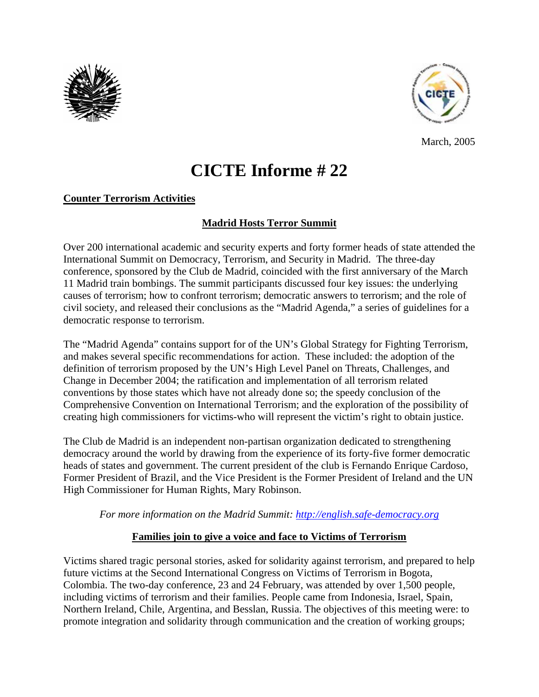



March, 2005

# **CICTE Informe # 22**

## **Counter Terrorism Activities**

## **Madrid Hosts Terror Summit**

Over 200 international academic and security experts and forty former heads of state attended the International Summit on Democracy, Terrorism, and Security in Madrid. The three-day conference, sponsored by the Club de Madrid, coincided with the first anniversary of the March 11 Madrid train bombings. The summit participants discussed four key issues: the underlying causes of terrorism; how to confront terrorism; democratic answers to terrorism; and the role of civil society, and released their conclusions as the "Madrid Agenda," a series of guidelines for a democratic response to terrorism.

The "Madrid Agenda" contains support for of the UN's Global Strategy for Fighting Terrorism, and makes several specific recommendations for action. These included: the adoption of the definition of terrorism proposed by the UN's High Level Panel on Threats, Challenges, and Change in December 2004; the ratification and implementation of all terrorism related conventions by those states which have not already done so; the speedy conclusion of the Comprehensive Convention on International Terrorism; and the exploration of the possibility of creating high commissioners for victims-who will represent the victim's right to obtain justice.

The Club de Madrid is an independent non-partisan organization dedicated to strengthening democracy around the world by drawing from the experience of its forty-five former democratic heads of states and government. The current president of the club is Fernando Enrique Cardoso, Former President of Brazil, and the Vice President is the Former President of Ireland and the UN High Commissioner for Human Rights, Mary Robinson.

*For more information on the Madrid Summit: http://english.safe-democracy.org*

#### **Families join to give a voice and face to Victims of Terrorism**

Victims shared tragic personal stories, asked for solidarity against terrorism, and prepared to help future victims at the Second International Congress on Victims of Terrorism in Bogota, Colombia. The two-day conference, 23 and 24 February, was attended by over 1,500 people, including victims of terrorism and their families. People came from Indonesia, Israel, Spain, Northern Ireland, Chile, Argentina, and Besslan, Russia. The objectives of this meeting were: to promote integration and solidarity through communication and the creation of working groups;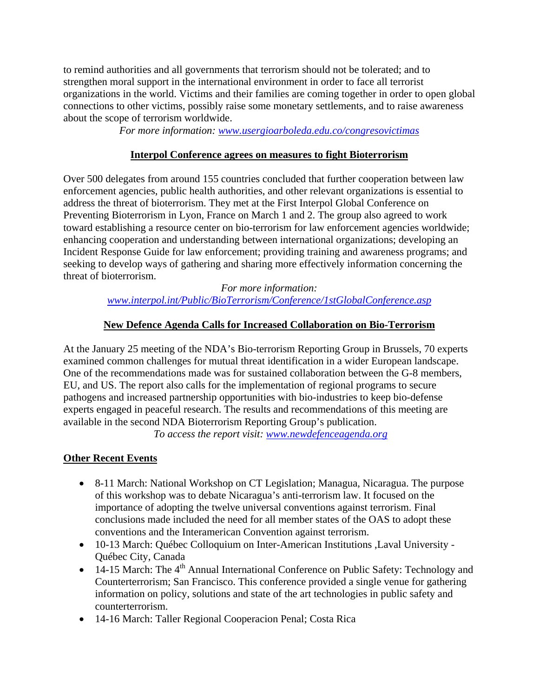to remind authorities and all governments that terrorism should not be tolerated; and to strengthen moral support in the international environment in order to face all terrorist organizations in the world. Victims and their families are coming together in order to open global connections to other victims, possibly raise some monetary settlements, and to raise awareness about the scope of terrorism worldwide.

*For more information: www.usergioarboleda.edu.co/congresovictimas*

#### **Interpol Conference agrees on measures to fight Bioterrorism**

Over 500 delegates from around 155 countries concluded that further cooperation between law enforcement agencies, public health authorities, and other relevant organizations is essential to address the threat of bioterrorism. They met at the First Interpol Global Conference on Preventing Bioterrorism in Lyon, France on March 1 and 2. The group also agreed to work toward establishing a resource center on bio-terrorism for law enforcement agencies worldwide; enhancing cooperation and understanding between international organizations; developing an Incident Response Guide for law enforcement; providing training and awareness programs; and seeking to develop ways of gathering and sharing more effectively information concerning the threat of bioterrorism.

*For more information: www.interpol.int/Public/BioTerrorism/Conference/1stGlobalConference.asp* 

### **New Defence Agenda Calls for Increased Collaboration on Bio-Terrorism**

At the January 25 meeting of the NDA's Bio-terrorism Reporting Group in Brussels, 70 experts examined common challenges for mutual threat identification in a wider European landscape. One of the recommendations made was for sustained collaboration between the G-8 members, EU, and US. The report also calls for the implementation of regional programs to secure pathogens and increased partnership opportunities with bio-industries to keep bio-defense experts engaged in peaceful research. The results and recommendations of this meeting are available in the second NDA Bioterrorism Reporting Group's publication.

*To access the report visit: www.newdefenceagenda.org*

## **Other Recent Events**

- 8-11 March: National Workshop on CT Legislation; Managua, Nicaragua. The purpose of this workshop was to debate Nicaragua's anti-terrorism law. It focused on the importance of adopting the twelve universal conventions against terrorism. Final conclusions made included the need for all member states of the OAS to adopt these conventions and the Interamerican Convention against terrorism.
- 10-13 March: Québec Colloquium on Inter-American Institutions ,Laval University Québec City, Canada
- 14-15 March: The  $4<sup>th</sup>$  Annual International Conference on Public Safety: Technology and Counterterrorism; San Francisco. This conference provided a single venue for gathering information on policy, solutions and state of the art technologies in public safety and counterterrorism.
- 14-16 March: Taller Regional Cooperacion Penal; Costa Rica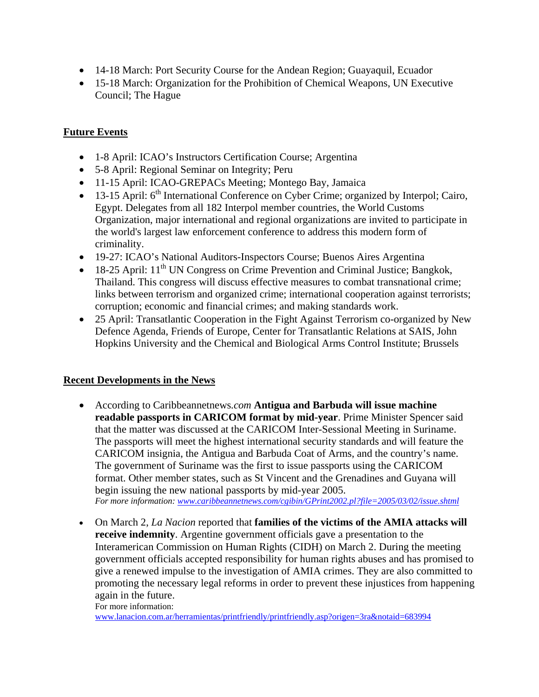- 14-18 March: Port Security Course for the Andean Region; Guayaquil, Ecuador
- 15-18 March: Organization for the Prohibition of Chemical Weapons, UN Executive Council; The Hague

#### **Future Events**

- 1-8 April: ICAO's Instructors Certification Course; Argentina
- 5-8 April: Regional Seminar on Integrity; Peru
- 11-15 April: ICAO-GREPACs Meeting; Montego Bay, Jamaica
- 13-15 April: 6<sup>th</sup> International Conference on Cyber Crime; organized by Interpol; Cairo, Egypt. Delegates from all 182 Interpol member countries, the World Customs Organization, major international and regional organizations are invited to participate in the world's largest law enforcement conference to address this modern form of criminality.
- 19-27: ICAO's National Auditors-Inspectors Course; Buenos Aires Argentina
- 18-25 April:  $11<sup>th</sup> UN Congress on Crime Prevention and Criminal Justice; Bangkok,$ Thailand. This congress will discuss effective measures to combat transnational crime; links between terrorism and organized crime; international cooperation against terrorists; corruption; economic and financial crimes; and making standards work.
- 25 April: Transatlantic Cooperation in the Fight Against Terrorism co-organized by New Defence Agenda, Friends of Europe, Center for Transatlantic Relations at SAIS, John Hopkins University and the Chemical and Biological Arms Control Institute; Brussels

#### **Recent Developments in the News**

- According to Caribbeannetnews*.com* **Antigua and Barbuda will issue machine readable passports in CARICOM format by mid-year**. Prime Minister Spencer said that the matter was discussed at the CARICOM Inter-Sessional Meeting in Suriname. The passports will meet the highest international security standards and will feature the CARICOM insignia, the Antigua and Barbuda Coat of Arms, and the country's name. The government of Suriname was the first to issue passports using the CARICOM format. Other member states, such as St Vincent and the Grenadines and Guyana will begin issuing the new national passports by mid-year 2005. *For more information: www.caribbeannetnews.com/cgibin/GPrint2002.pl?file=2005/03/02/issue.shtml*
- On March 2, *La Nacion* reported that **families of the victims of the AMIA attacks will receive indemnity**. Argentine government officials gave a presentation to the Interamerican Commission on Human Rights (CIDH) on March 2. During the meeting government officials accepted responsibility for human rights abuses and has promised to give a renewed impulse to the investigation of AMIA crimes. They are also committed to promoting the necessary legal reforms in order to prevent these injustices from happening again in the future.

For more information: www.lanacion.com.ar/herramientas/printfriendly/printfriendly.asp?origen=3ra&notaid=683994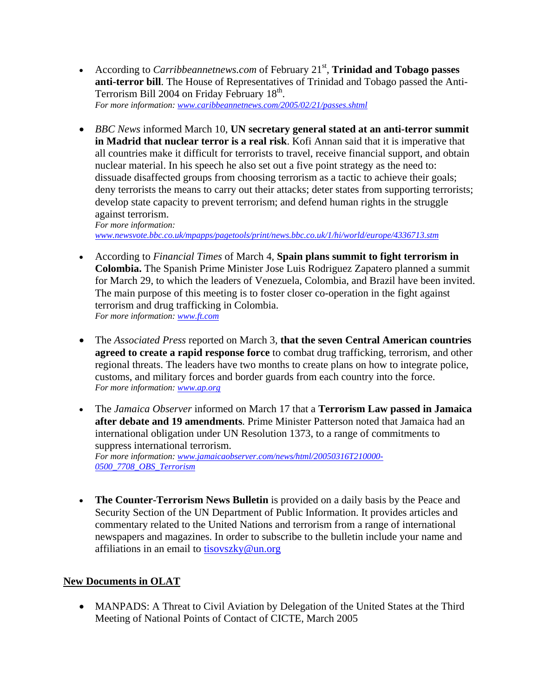- According to *Carribbeannetnews.com* of February 21<sup>st</sup>, **Trinidad and Tobago passes anti-terror bill**. The House of Representatives of Trinidad and Tobago passed the Anti-Terrorism Bill 2004 on Friday February 18<sup>th</sup>. *For more information: www.caribbeannetnews.com/2005/02/21/passes.shtml*
- *BBC News* informed March 10, **UN secretary general stated at an anti-terror summit in Madrid that nuclear terror is a real risk**. Kofi Annan said that it is imperative that all countries make it difficult for terrorists to travel, receive financial support, and obtain nuclear material. In his speech he also set out a five point strategy as the need to: dissuade disaffected groups from choosing terrorism as a tactic to achieve their goals; deny terrorists the means to carry out their attacks; deter states from supporting terrorists; develop state capacity to prevent terrorism; and defend human rights in the struggle against terrorism.

*For more information: www.newsvote.bbc.co.uk/mpapps/pagetools/print/news.bbc.co.uk/1/hi/world/europe/4336713.stm* 

- According to *Financial Times* of March 4, **Spain plans summit to fight terrorism in Colombia.** The Spanish Prime Minister Jose Luis Rodriguez Zapatero planned a summit for March 29, to which the leaders of Venezuela, Colombia, and Brazil have been invited. The main purpose of this meeting is to foster closer co-operation in the fight against terrorism and drug trafficking in Colombia. *For more information: www.ft.com*
- The *Associated Press* reported on March 3, **that the seven Central American countries agreed to create a rapid response force** to combat drug trafficking, terrorism, and other regional threats. The leaders have two months to create plans on how to integrate police, customs, and military forces and border guards from each country into the force. *For more information: www.ap.org*
- The *Jamaica Observer* informed on March 17 that a **Terrorism Law passed in Jamaica after debate and 19 amendments**. Prime Minister Patterson noted that Jamaica had an international obligation under UN Resolution 1373, to a range of commitments to suppress international terrorism. *For more information: www.jamaicaobserver.com/news/html/20050316T210000- 0500\_7708\_OBS\_Terrorism*
- **The Counter-Terrorism News Bulletin** is provided on a daily basis by the Peace and Security Section of the UN Department of Public Information. It provides articles and commentary related to the United Nations and terrorism from a range of international newspapers and magazines. In order to subscribe to the bulletin include your name and affiliations in an email to tisovszky@un.org

## **New Documents in OLAT**

• MANPADS: A Threat to Civil Aviation by Delegation of the United States at the Third Meeting of National Points of Contact of CICTE, March 2005